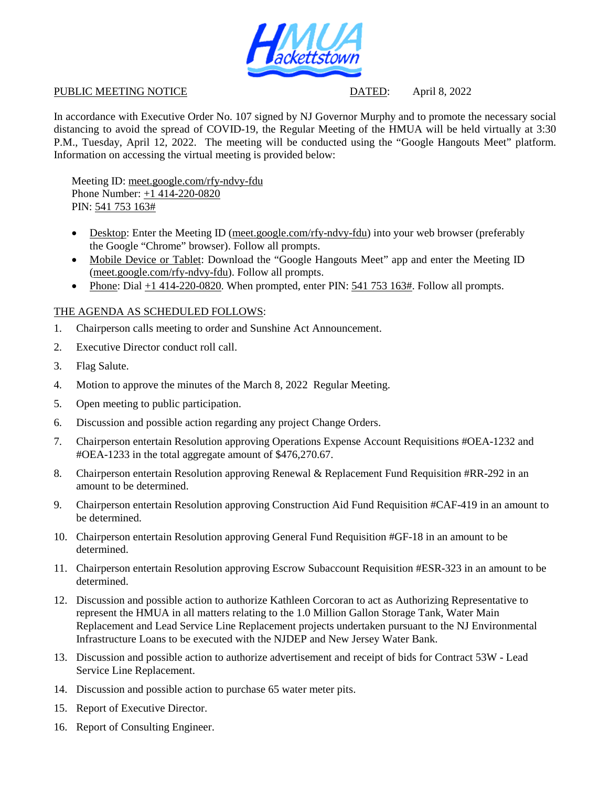

## PUBLIC MEETING NOTICE DATED: April 8, 2022

In accordance with Executive Order No. 107 signed by NJ Governor Murphy and to promote the necessary social distancing to avoid the spread of COVID-19, the Regular Meeting of the HMUA will be held virtually at 3:30 P.M., Tuesday, April 12, 2022. The meeting will be conducted using the "Google Hangouts Meet" platform. Information on accessing the virtual meeting is provided below:

Meeting ID: meet.google.com/rfy-ndvy-fdu Phone Number: +1 414-220-0820 PIN: 541 753 163#

- Desktop: Enter the Meeting ID (meet.google.com/rfy-ndvy-fdu) into your web browser (preferably the Google "Chrome" browser). Follow all prompts.
- Mobile Device or Tablet: Download the "Google Hangouts Meet" app and enter the Meeting ID (meet.google.com/rfy-ndvy-fdu). Follow all prompts.
- Phone: Dial  $+1$  414-220-0820. When prompted, enter PIN: 541 753 163#. Follow all prompts.

## THE AGENDA AS SCHEDULED FOLLOWS:

- 1. Chairperson calls meeting to order and Sunshine Act Announcement.
- 2. Executive Director conduct roll call.
- 3. Flag Salute.
- 4. Motion to approve the minutes of the March 8, 2022 Regular Meeting.
- 5. Open meeting to public participation.
- 6. Discussion and possible action regarding any project Change Orders.
- 7. Chairperson entertain Resolution approving Operations Expense Account Requisitions #OEA-1232 and #OEA-1233 in the total aggregate amount of \$476,270.67.
- 8. Chairperson entertain Resolution approving Renewal & Replacement Fund Requisition #RR-292 in an amount to be determined.
- 9. Chairperson entertain Resolution approving Construction Aid Fund Requisition #CAF-419 in an amount to be determined.
- 10. Chairperson entertain Resolution approving General Fund Requisition #GF-18 in an amount to be determined.
- 11. Chairperson entertain Resolution approving Escrow Subaccount Requisition #ESR-323 in an amount to be determined.
- 12. Discussion and possible action to authorize Kathleen Corcoran to act as Authorizing Representative to represent the HMUA in all matters relating to the 1.0 Million Gallon Storage Tank, Water Main Replacement and Lead Service Line Replacement projects undertaken pursuant to the NJ Environmental Infrastructure Loans to be executed with the NJDEP and New Jersey Water Bank.
- 13. Discussion and possible action to authorize advertisement and receipt of bids for Contract 53W Lead Service Line Replacement.
- 14. Discussion and possible action to purchase 65 water meter pits.
- 15. Report of Executive Director.
- 16. Report of Consulting Engineer.